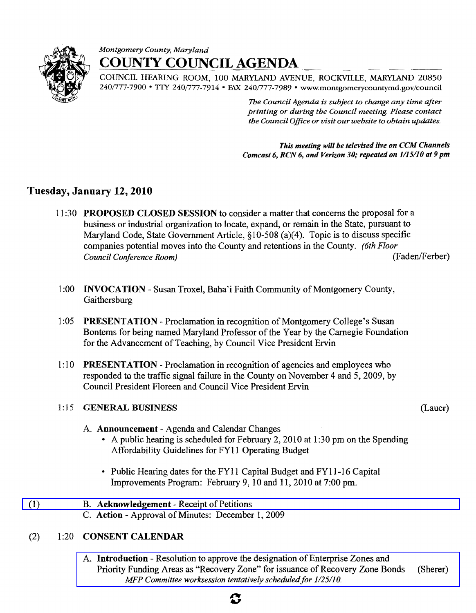

# *Montgomery County, Maryland*  **COUNTY COUNCIL AGENDA**

COUNCIL HEARING ROOM, 100 MARYLAND AVENUE, ROCKVILLE, MARYLAND 20850 240/777-7900 • TTY 240/777-7914 • FAX 240/777-7989 • www.montgomerycountymd.gov/council

> *]be CouncilAgenda is subject to change any time after printing or during the Council meeting. Please contact the Council Office or visit our website to obtain updates.*

*This meeting will be televised live on CCM Channels Comeast* 6, *RCN* 6, *and Verizon 30; repeated on 1/15/10 at* 9 *pm* 

# Tuesday, January 12, 2010

- 11 :30 PROPOSED CLOSED SESSION to consider a matter that concerns the proposal for a business or industrial organization to locate, expand, or remain in the State, pursuant to Maryland Code, State Government Article,  $\S 10-508$  (a)(4). Topic is to discuss specific companies potential moves into the County and retentions in the County. *(6th Floor Council Conference Room*) (Faden/Ferber)
- 1:00 INVOCATION Susan Troxel, Baha'i Faith Community of Montgomery County, Gaithersburg
- 1:05 PRESENTATION Proclamation in recognition of Montgomery College's Susan Bontems for being named Maryland Professor of the Year by the Carnegie Foundation for the Advancement of Teaching, by Council Vice President Ervin
- 1:10 PRESENTATION Proclamation in recognition of agencies and employees who responded to the traffic signal failure in the County on November 4 and 5, 2009, by Council President Floreen and Council Vice President Ervin

### 1:15 **GENERAL BUSINESS** (Lauer)

- A. Announcement Agenda and Calendar Changes
	- A public hearing is scheduled for February 2, 2010 at 1:30 pm on the Spending Affordability Guidelines for FYII Operating Budget
	- Public Hearing dates for the FY11 Capital Budget and FY11-16 Capital Improvements Program: February 9, 10 and 11,2010 at 7:00 pm.

## $(1)$  B. Acknowledgement - Receipt of Petitions

C. Action - Approval of Minutes: December 1, 2009

## (2) 1 :20 CONSENT CALENDAR

A. Introduction - Resolution to approve the designation of Enterprise Zones and Priority Funding Areas as "Recovery Zone" for issuance of Recovery Zone Bonds (Sherer) *MFP Committee worksession tentatively scheduled for 1/25/10.* 

# C,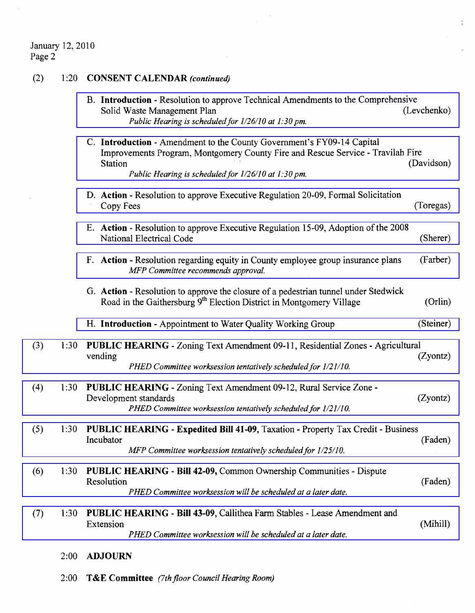#### January 12,2010 Page 2

 $\sim$ 

(2) 1:20 **CONSENT CALENDAR** *(continued)* 

|     |      | B. Introduction - Resolution to approve Technical Amendments to the Comprehensive<br>(Levchenko)<br>Solid Waste Management Plan<br>Public Hearing is scheduled for 1/26/10 at 1:30 pm.                                                    |
|-----|------|-------------------------------------------------------------------------------------------------------------------------------------------------------------------------------------------------------------------------------------------|
|     |      | C. Introduction - Amendment to the County Government's FY09-14 Capital<br>Improvements Program, Montgomery County Fire and Rescue Service - Travilah Fire<br>(Davidson)<br>Station<br>Public Hearing is scheduled for 1/26/10 at 1:30 pm. |
|     |      | D. Action - Resolution to approve Executive Regulation 20-09, Formal Solicitation<br>(Toregas)<br>Copy Fees                                                                                                                               |
|     |      | E. Action - Resolution to approve Executive Regulation 15-09, Adoption of the 2008<br>(Sherer)<br>National Electrical Code                                                                                                                |
|     |      | (Farber)<br>F. Action - Resolution regarding equity in County employee group insurance plans<br>MFP Committee recommends approval.                                                                                                        |
|     |      | G. Action - Resolution to approve the closure of a pedestrian tunnel under Stedwick<br>Road in the Gaithersburg 9 <sup>th</sup> Election District in Montgomery Village<br>(Orlin)                                                        |
|     |      | (Steiner)<br>H. Introduction - Appointment to Water Quality Working Group                                                                                                                                                                 |
| (3) | 1:30 | <b>PUBLIC HEARING</b> - Zoning Text Amendment 09-11, Residential Zones - Agricultural<br>(Zyontz)<br>vending<br>PHED Committee worksession tentatively scheduled for 1/21/10.                                                             |
| (4) | 1:30 | PUBLIC HEARING - Zoning Text Amendment 09-12, Rural Service Zone -<br>Development standards<br>(Zyontz)<br>PHED Committee worksession tentatively scheduled for 1/21/10.                                                                  |
| (5) | 1:30 | PUBLIC HEARING - Expedited Bill 41-09, Taxation - Property Tax Credit - Business<br>Incubator<br>(Faden)<br>MFP Committee worksession tentatively scheduled for 1/25/10.                                                                  |
| (6) | 1:30 | PUBLIC HEARING - Bill 42-09, Common Ownership Communities - Dispute<br>Resolution<br>(Faden)<br>PHED Committee worksession will be scheduled at a later date.                                                                             |
| (7) | 1:30 | PUBLIC HEARING - Bill 43-09, Callithea Farm Stables - Lease Amendment and<br>Extension<br>(Mihill)<br>PHED Committee worksession will be scheduled at a later date.                                                                       |
|     | 2:00 | <b>ADJOURN</b>                                                                                                                                                                                                                            |

 $\alpha$ 

 $\bar{z}$ 

 $\frac{1}{\alpha}$ 

Ç.

2:00 **T&E Committee** *(7th floor Council Hearing Room)*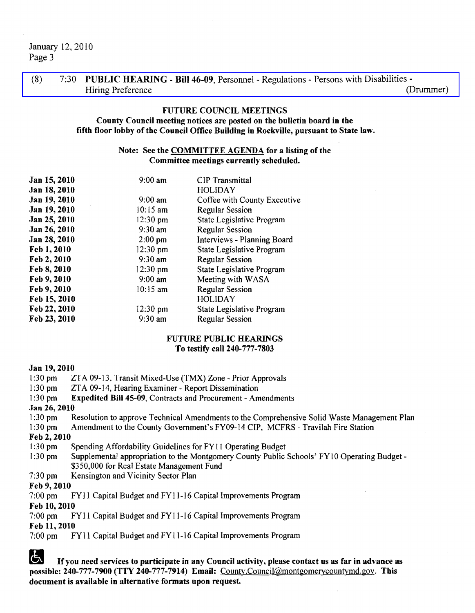January 12,2010 Page 3

(8) 7:30 PUBLIC HEARING - Bill 46-09, Personnel - Regulations - Persons with Disabilities-Hiring Preference (Drummer)

#### FUTURE COUNCIL MEETINGS

#### County Council meeting notices are posted on the bulletin board in the fifth floor lobby of the Council Office Building in Rockville, pursuant to State law.

#### Note: See the COMMITTEE AGENDA for a listing of the Committee meetings currently scheduled.

| Jan 15, 2010 | $9:00$ am          | <b>CIP</b> Transmittal       |
|--------------|--------------------|------------------------------|
| Jan 18, 2010 |                    | <b>HOLIDAY</b>               |
| Jan 19, 2010 | $9:00 \text{ am}$  | Coffee with County Executive |
| Jan 19, 2010 | $10:15$ am         | <b>Regular Session</b>       |
| Jan 25, 2010 | $12:30$ pm         | State Legislative Program    |
| Jan 26, 2010 | $9:30$ am          | <b>Regular Session</b>       |
| Jan 28, 2010 | $2:00$ pm          | Interviews - Planning Board  |
| Feb 1, 2010  | $12:30 \text{ pm}$ | State Legislative Program    |
| Feb 2, 2010  | $9:30$ am          | <b>Regular Session</b>       |
| Feb 8, 2010  | $12:30 \text{ pm}$ | State Legislative Program    |
| Feb 9, 2010  | $9:00$ am          | Meeting with WASA            |
| Feb 9, 2010  | $10:15$ am         | <b>Regular Session</b>       |
| Feb 15, 2010 |                    | <b>HOLIDAY</b>               |
| Feb 22, 2010 | $12:30 \text{ pm}$ | State Legislative Program    |
| Feb 23, 2010 | $9:30$ am          | <b>Regular Session</b>       |

#### FUTURE PUBLIC HEARINGS To testify call 240-777-7803

#### Jan 19,2010

- 1:30 pm ZTA 09-13, Transit Mixed-Use (TMX) Zone Prior Approvals
- 1:30 pm ZTA 09-14, Hearing Examiner Report Dissemination
- I :30 pm Expedited Bill 45-09, Contracts and Procurement Amendments

#### Jan 26, 2010

- 1 :30 pm Resolution to approve Technical Amendments to the Comprehensive Solid Waste Management Plan
- I :30 pm Amendment to the County Government's FY09-14 CIP, MCFRS Travilah Fire Station

Feb 2, 2010

- 1:30 pm Spending Affordability Guidelines for FY11 Operating Budget
- 1:30 pm Supplemental appropriation to the Montgomery County Public Schools' FY10 Operating Budget -\$350,000 for Real Estate Management Fund
- 7:30 pm Kensington and Vicinity Sector Plan

# Feb 9, 2010<br>7:00 pm

FY11 Capital Budget and FY11-16 Capital Improvements Program

Feb 10,2010

7:00 pm FYI1 Capital Budget and FYll-16 Capital Improvements Program Feb 11,2010

7:00 pm FYii Capital Budget and FYll-16 Capital Improvements Program

If you need services to participate in any Council activity, please contact us as far in advance as possible: 240-777-7900 (TTY 240-777-7914) Email: County.Council@montgomerycountymd.gov. This document is available in alternative formats upon request.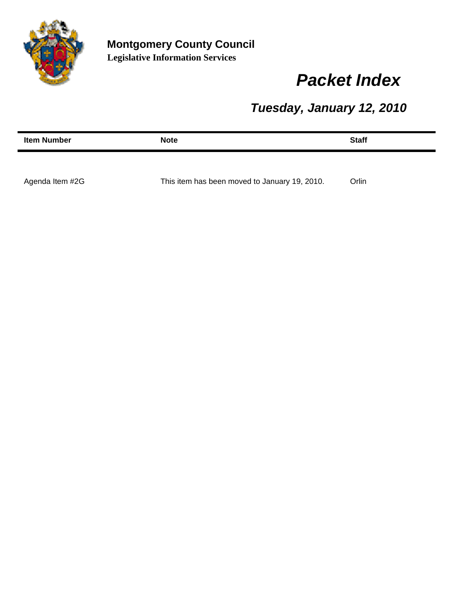

# *Packet Index*

*Tuesday, January 12, 2010*

| <b>Item Number</b> | <b>Note</b>                                   | <b>Staff</b> |
|--------------------|-----------------------------------------------|--------------|
|                    |                                               |              |
| Agenda Item #2G    | This item has been moved to January 19, 2010. | Orlin        |